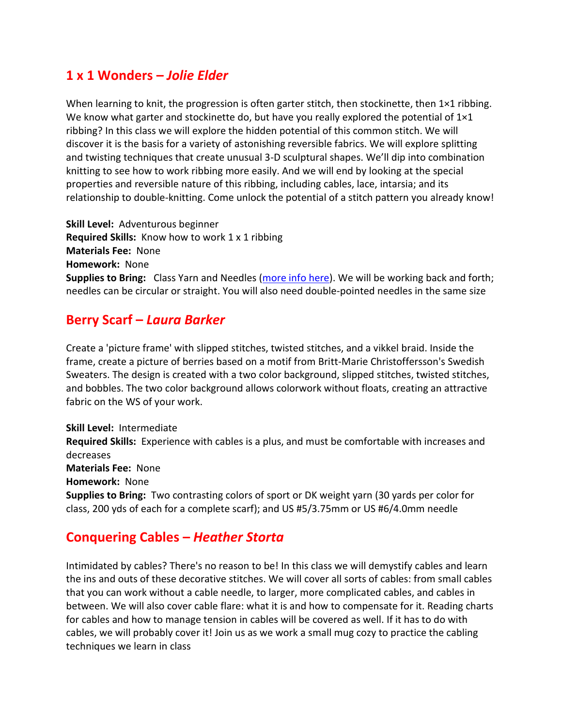## **1 x 1 Wonders –** *Jolie Elder*

When learning to knit, the progression is often garter stitch, then stockinette, then  $1\times1$  ribbing. We know what garter and stockinette do, but have you really explored the potential of  $1\times1$ ribbing? In this class we will explore the hidden potential of this common stitch. We will discover it is the basis for a variety of astonishing reversible fabrics. We will explore splitting and twisting techniques that create unusual 3-D sculptural shapes. We'll dip into combination knitting to see how to work ribbing more easily. And we will end by looking at the special properties and reversible nature of this ribbing, including cables, lace, intarsia; and its relationship to double-knitting. Come unlock the potential of a stitch pattern you already know!

**Skill Level:** Adventurous beginner **Required Skills:** Know how to work 1 x 1 ribbing **Materials Fee:** None **Homework:** None **Supplies to Bring:** Class Yarn and Needles [\(more info here\)](https://jolieaelder.blogspot.com/p/class-yarn.html). We will be working back and forth; needles can be circular or straight. You will also need double-pointed needles in the same size

#### **Berry Scarf –** *Laura Barker*

Create a 'picture frame' with slipped stitches, twisted stitches, and a vikkel braid. Inside the frame, create a picture of berries based on a motif from Britt-Marie Christoffersson's Swedish Sweaters. The design is created with a two color background, slipped stitches, twisted stitches, and bobbles. The two color background allows colorwork without floats, creating an attractive fabric on the WS of your work.

**Skill Level:** Intermediate **Required Skills:** Experience with cables is a plus, and must be comfortable with increases and decreases **Materials Fee:** None **Homework:** None **Supplies to Bring:** Two contrasting colors of sport or DK weight yarn (30 yards per color for class, 200 yds of each for a complete scarf); and US #5/3.75mm or US #6/4.0mm needle

## **Conquering Cables –** *Heather Storta*

Intimidated by cables? There's no reason to be! In this class we will demystify cables and learn the ins and outs of these decorative stitches. We will cover all sorts of cables: from small cables that you can work without a cable needle, to larger, more complicated cables, and cables in between. We will also cover cable flare: what it is and how to compensate for it. Reading charts for cables and how to manage tension in cables will be covered as well. If it has to do with cables, we will probably cover it! Join us as we work a small mug cozy to practice the cabling techniques we learn in class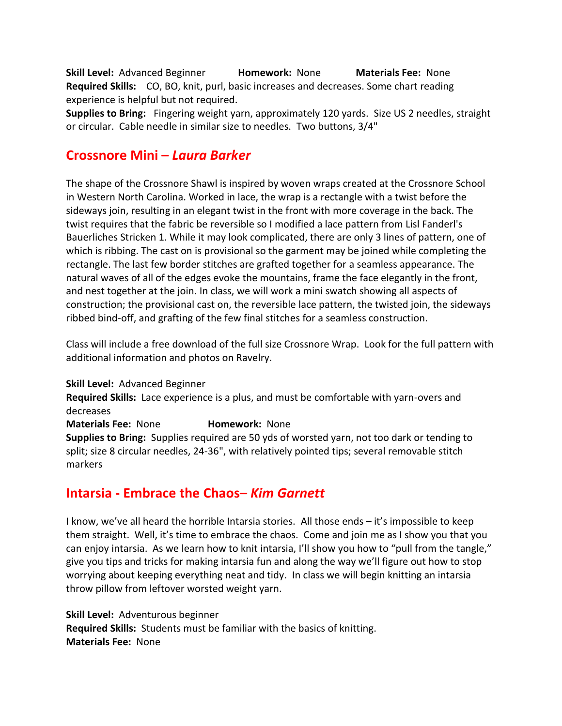**Skill Level:** Advanced Beginner **Homework:** None **Materials Fee:** None **Required Skills:** CO, BO, knit, purl, basic increases and decreases. Some chart reading experience is helpful but not required.

**Supplies to Bring:** Fingering weight yarn, approximately 120 yards. Size US 2 needles, straight or circular. Cable needle in similar size to needles. Two buttons, 3/4"

## **Crossnore Mini –** *Laura Barker*

The shape of the Crossnore Shawl is inspired by woven wraps created at the Crossnore School in Western North Carolina. Worked in lace, the wrap is a rectangle with a twist before the sideways join, resulting in an elegant twist in the front with more coverage in the back. The twist requires that the fabric be reversible so I modified a lace pattern from Lisl Fanderl's Bauerliches Stricken 1. While it may look complicated, there are only 3 lines of pattern, one of which is ribbing. The cast on is provisional so the garment may be joined while completing the rectangle. The last few border stitches are grafted together for a seamless appearance. The natural waves of all of the edges evoke the mountains, frame the face elegantly in the front, and nest together at the join. In class, we will work a mini swatch showing all aspects of construction; the provisional cast on, the reversible lace pattern, the twisted join, the sideways ribbed bind-off, and grafting of the few final stitches for a seamless construction.

Class will include a free download of the full size Crossnore Wrap. Look for the full pattern with additional information and photos on Ravelry.

**Skill Level:** Advanced Beginner **Required Skills:** Lace experience is a plus, and must be comfortable with yarn-overs and decreases **Materials Fee:** None **Homework:** None **Supplies to Bring:** Supplies required are 50 yds of worsted yarn, not too dark or tending to split; size 8 circular needles, 24-36", with relatively pointed tips; several removable stitch markers

## **Intarsia - Embrace the Chaos–** *Kim Garnett*

I know, we've all heard the horrible Intarsia stories. All those ends – it's impossible to keep them straight. Well, it's time to embrace the chaos. Come and join me as I show you that you can enjoy intarsia. As we learn how to knit intarsia, I'll show you how to "pull from the tangle," give you tips and tricks for making intarsia fun and along the way we'll figure out how to stop worrying about keeping everything neat and tidy. In class we will begin knitting an intarsia throw pillow from leftover worsted weight yarn.

**Skill Level:** Adventurous beginner **Required Skills:** Students must be familiar with the basics of knitting. **Materials Fee:** None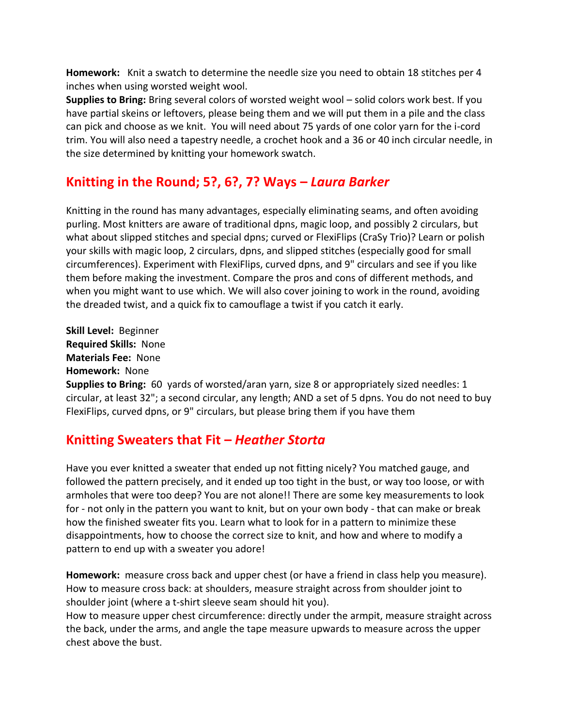**Homework:** Knit a swatch to determine the needle size you need to obtain 18 stitches per 4 inches when using worsted weight wool.

**Supplies to Bring:** Bring several colors of worsted weight wool – solid colors work best. If you have partial skeins or leftovers, please being them and we will put them in a pile and the class can pick and choose as we knit. You will need about 75 yards of one color yarn for the i-cord trim. You will also need a tapestry needle, a crochet hook and a 36 or 40 inch circular needle, in the size determined by knitting your homework swatch.

# **Knitting in the Round; 5?, 6?, 7? Ways –** *Laura Barker*

Knitting in the round has many advantages, especially eliminating seams, and often avoiding purling. Most knitters are aware of traditional dpns, magic loop, and possibly 2 circulars, but what about slipped stitches and special dpns; curved or FlexiFlips (CraSy Trio)? Learn or polish your skills with magic loop, 2 circulars, dpns, and slipped stitches (especially good for small circumferences). Experiment with FlexiFlips, curved dpns, and 9" circulars and see if you like them before making the investment. Compare the pros and cons of different methods, and when you might want to use which. We will also cover joining to work in the round, avoiding the dreaded twist, and a quick fix to camouflage a twist if you catch it early.

**Skill Level:** Beginner **Required Skills:** None **Materials Fee:** None **Homework:** None

**Supplies to Bring:** 60 yards of worsted/aran yarn, size 8 or appropriately sized needles: 1 circular, at least 32"; a second circular, any length; AND a set of 5 dpns. You do not need to buy FlexiFlips, curved dpns, or 9" circulars, but please bring them if you have them

# **Knitting Sweaters that Fit –** *Heather Storta*

Have you ever knitted a sweater that ended up not fitting nicely? You matched gauge, and followed the pattern precisely, and it ended up too tight in the bust, or way too loose, or with armholes that were too deep? You are not alone!! There are some key measurements to look for - not only in the pattern you want to knit, but on your own body - that can make or break how the finished sweater fits you. Learn what to look for in a pattern to minimize these disappointments, how to choose the correct size to knit, and how and where to modify a pattern to end up with a sweater you adore!

**Homework:** measure cross back and upper chest (or have a friend in class help you measure). How to measure cross back: at shoulders, measure straight across from shoulder joint to shoulder joint (where a t-shirt sleeve seam should hit you).

How to measure upper chest circumference: directly under the armpit, measure straight across the back, under the arms, and angle the tape measure upwards to measure across the upper chest above the bust.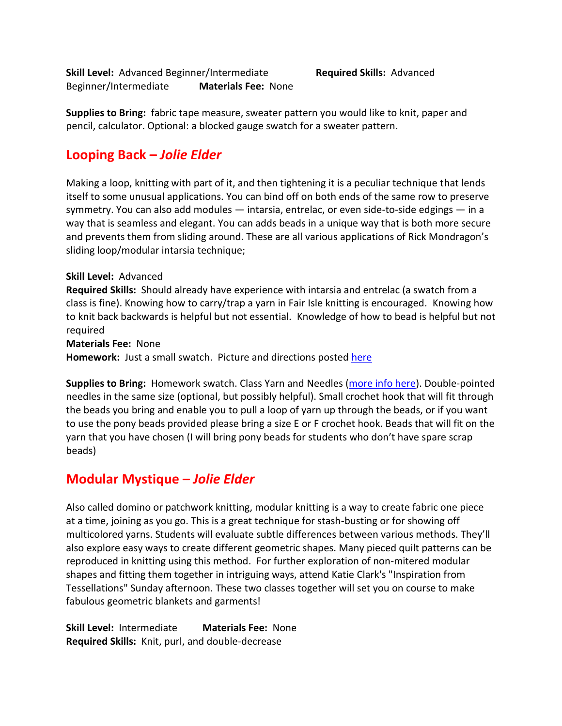**Skill Level:** Advanced Beginner/Intermediate **Required Skills:** Advanced Beginner/Intermediate **Materials Fee:** None

**Supplies to Bring:** fabric tape measure, sweater pattern you would like to knit, paper and pencil, calculator. Optional: a blocked gauge swatch for a sweater pattern.

# **Looping Back –** *Jolie Elder*

Making a loop, knitting with part of it, and then tightening it is a peculiar technique that lends itself to some unusual applications. You can bind off on both ends of the same row to preserve symmetry. You can also add modules — intarsia, entrelac, or even side-to-side edgings — in a way that is seamless and elegant. You can adds beads in a unique way that is both more secure and prevents them from sliding around. These are all various applications of Rick Mondragon's sliding loop/modular intarsia technique;

#### **Skill Level:** Advanced

**Required Skills:** Should already have experience with intarsia and entrelac (a swatch from a class is fine). Knowing how to carry/trap a yarn in Fair Isle knitting is encouraged. Knowing how to knit back backwards is helpful but not essential. Knowledge of how to bead is helpful but not required

**Materials Fee:** None

Homework: Just a small swatch. Picture and directions posted [here](https://jolieaelder.blogspot.com/p/looping-back-homework.html)

**Supplies to Bring:** Homework swatch. Class Yarn and Needles [\(more info here\)](https://jolieaelder.blogspot.com/p/class-yarn.html). Double-pointed needles in the same size (optional, but possibly helpful). Small crochet hook that will fit through the beads you bring and enable you to pull a loop of yarn up through the beads, or if you want to use the pony beads provided please bring a size E or F crochet hook. Beads that will fit on the yarn that you have chosen (I will bring pony beads for students who don't have spare scrap beads)

# **Modular Mystique –** *Jolie Elder*

Also called domino or patchwork knitting, modular knitting is a way to create fabric one piece at a time, joining as you go. This is a great technique for stash-busting or for showing off multicolored yarns. Students will evaluate subtle differences between various methods. They'll also explore easy ways to create different geometric shapes. Many pieced quilt patterns can be reproduced in knitting using this method. For further exploration of non-mitered modular shapes and fitting them together in intriguing ways, attend Katie Clark's "Inspiration from Tessellations" Sunday afternoon. These two classes together will set you on course to make fabulous geometric blankets and garments!

**Skill Level:** Intermediate **Materials Fee:** None **Required Skills:** Knit, purl, and double-decrease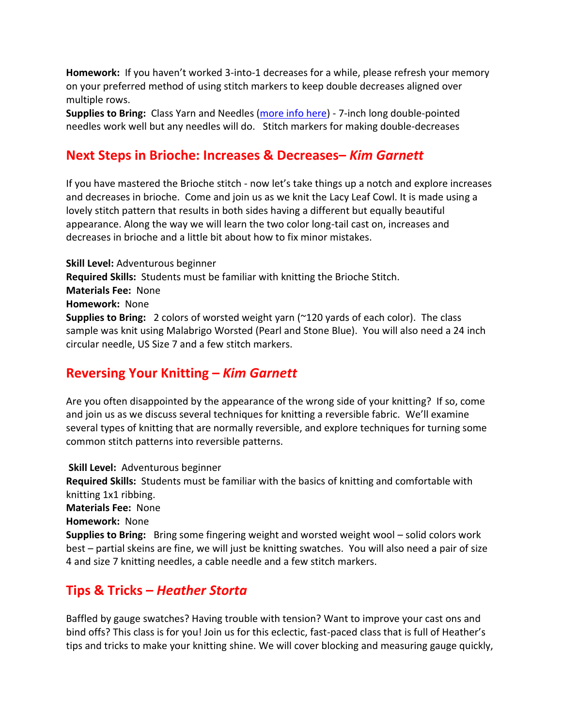**Homework:** If you haven't worked 3-into-1 decreases for a while, please refresh your memory on your preferred method of using stitch markers to keep double decreases aligned over multiple rows.

**Supplies to Bring:** Class Yarn and Needles [\(more info here\)](https://jolieaelder.blogspot.com/p/class-yarn.html) - 7-inch long double-pointed needles work well but any needles will do. Stitch markers for making double-decreases

# **Next Steps in Brioche: Increases & Decreases–** *Kim Garnett*

If you have mastered the Brioche stitch - now let's take things up a notch and explore increases and decreases in brioche. Come and join us as we knit the Lacy Leaf Cowl. It is made using a lovely stitch pattern that results in both sides having a different but equally beautiful appearance. Along the way we will learn the two color long-tail cast on, increases and decreases in brioche and a little bit about how to fix minor mistakes.

**Skill Level:** Adventurous beginner **Required Skills:** Students must be familiar with knitting the Brioche Stitch. **Materials Fee:** None **Homework:** None **Supplies to Bring:** 2 colors of worsted weight yarn (~120 yards of each color). The class sample was knit using Malabrigo Worsted (Pearl and Stone Blue). You will also need a 24 inch circular needle, US Size 7 and a few stitch markers.

# **Reversing Your Knitting –** *Kim Garnett*

Are you often disappointed by the appearance of the wrong side of your knitting? If so, come and join us as we discuss several techniques for knitting a reversible fabric. We'll examine several types of knitting that are normally reversible, and explore techniques for turning some common stitch patterns into reversible patterns.

**Skill Level:** Adventurous beginner **Required Skills:** Students must be familiar with the basics of knitting and comfortable with knitting 1x1 ribbing. **Materials Fee:** None **Homework:** None **Supplies to Bring:** Bring some fingering weight and worsted weight wool – solid colors work best – partial skeins are fine, we will just be knitting swatches. You will also need a pair of size 4 and size 7 knitting needles, a cable needle and a few stitch markers.

# **Tips & Tricks –** *Heather Storta*

Baffled by gauge swatches? Having trouble with tension? Want to improve your cast ons and bind offs? This class is for you! Join us for this eclectic, fast-paced class that is full of Heather's tips and tricks to make your knitting shine. We will cover blocking and measuring gauge quickly,